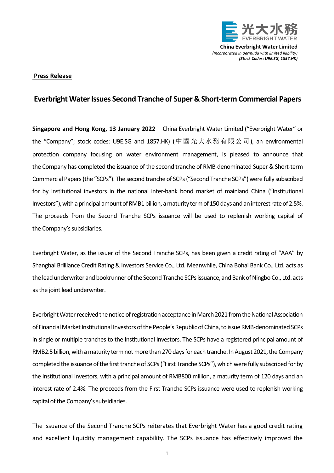

**China Everbright Water Limited** *(Incorporated in Bermuda with limited liability) (Stock Codes: U9E.SG, 1857.HK)*

## **Press Release**

## **Everbright Water Issues Second Tranche of Super & Short-term Commercial Papers**

**Singapore and Hong Kong, 13 January 2022** – China Everbright Water Limited ("Everbright Water" or the "Company"; stock codes: U9E.SG and 1857.HK) (中國光大水務有限公司), an environmental protection company focusing on water environment management, is pleased to announce that the Company has completed the issuance of the second tranche of RMB-denominated Super & Short-term Commercial Papers (the "SCPs"). The second tranche of SCPs ("Second Tranche SCPs") were fully subscribed for by institutional investors in the national inter-bank bond market of mainland China ("Institutional Investors"), with a principal amount of RMB1 billion, a maturity term of 150 days and an interest rate of 2.5%. The proceeds from the Second Tranche SCPs issuance will be used to replenish working capital of the Company's subsidiaries.

Everbright Water, as the issuer of the Second Tranche SCPs, has been given a credit rating of "AAA" by Shanghai Brilliance Credit Rating & Investors Service Co., Ltd. Meanwhile, China Bohai Bank Co., Ltd. acts as the lead underwriter and bookrunner of the Second Tranche SCPs issuance, and Bank of Ningbo Co., Ltd. acts as the joint lead underwriter.

Everbright Water received the notice of registration acceptance in March 2021 from the National Association of Financial Market Institutional Investors of the People's Republic of China, to issue RMB-denominated SCPs in single or multiple tranches to the Institutional Investors. The SCPs have a registered principal amount of RMB2.5 billion, with a maturity term not more than 270 days for each tranche. In August 2021, the Company completed the issuance of the first tranche of SCPs("First Tranche SCPs"), which were fully subscribed for by the Institutional Investors, with a principal amount of RMB800 million, a maturity term of 120 days and an interest rate of 2.4%. The proceeds from the First Tranche SCPs issuance were used to replenish working capital of the Company's subsidiaries.

The issuance of the Second Tranche SCPs reiterates that Everbright Water has a good credit rating and excellent liquidity management capability. The SCPs issuance has effectively improved the